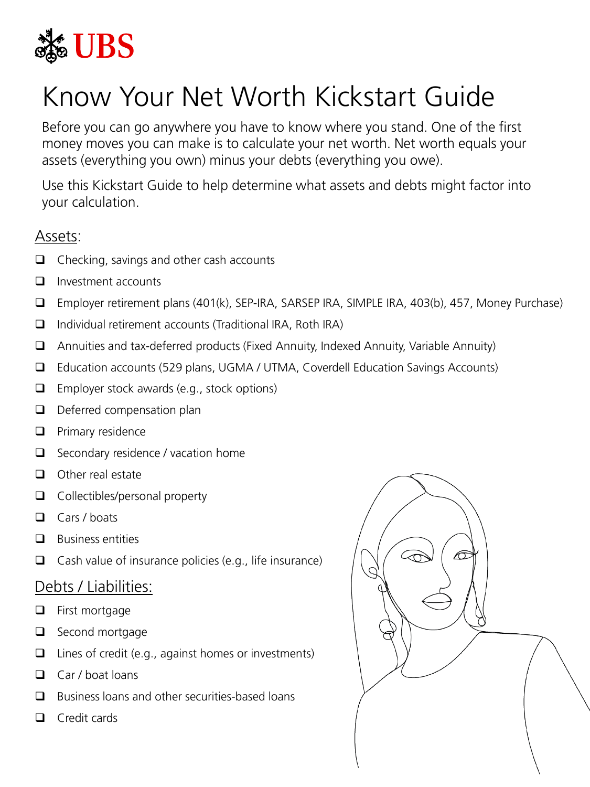

## Know Your Net Worth Kickstart Guide

Before you can go anywhere you have to know where you stand. One of the first money moves you can make is to calculate your net worth. Net worth equals your assets (everything you own) minus your debts (everything you owe).

Use this Kickstart Guide to help determine what assets and debts might factor into your calculation.

## Assets:

- $\Box$  Checking, savings and other cash accounts
- $\Box$  Investment accounts
- Employer retirement plans (401(k), SEP-IRA, SARSEP IRA, SIMPLE IRA, 403(b), 457, Money Purchase)
- $\Box$  Individual retirement accounts (Traditional IRA, Roth IRA)
- $\Box$  Annuities and tax-deferred products (Fixed Annuity, Indexed Annuity, Variable Annuity)
- Education accounts (529 plans, UGMA / UTMA, Coverdell Education Savings Accounts)
- $\Box$  Employer stock awards (e.g., stock options)
- $\Box$  Deferred compensation plan
- $\Box$  Primary residence
- $\Box$  Secondary residence / vacation home
- $\Box$  Other real estate
- $\Box$  Collectibles/personal property
- $\Box$  Cars / boats
- $\Box$  Business entities
- $\Box$  Cash value of insurance policies (e.g., life insurance)

## Debts / Liabilities:

- **Q** First mortgage
- $\Box$  Second mortgage
- $\Box$  Lines of credit (e.g., against homes or investments)
- $\Box$  Car / boat loans
- $\Box$  Business loans and other securities-based loans
- $\Box$  Credit cards